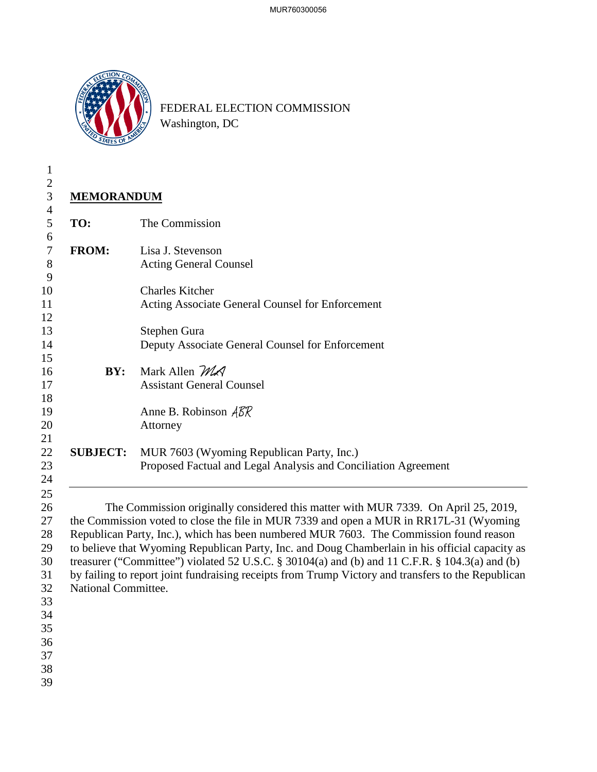

FEDERAL ELECTION COMMISSION Washington, DC

| $\mathbf{1}$                                                                           |                     |                                                                                                                                                                                                                                                                                                                                                                                                                                                                                                                                                                                   |  |
|----------------------------------------------------------------------------------------|---------------------|-----------------------------------------------------------------------------------------------------------------------------------------------------------------------------------------------------------------------------------------------------------------------------------------------------------------------------------------------------------------------------------------------------------------------------------------------------------------------------------------------------------------------------------------------------------------------------------|--|
| $\mathbf{2}$                                                                           |                     |                                                                                                                                                                                                                                                                                                                                                                                                                                                                                                                                                                                   |  |
| $\mathfrak{Z}$                                                                         | <b>MEMORANDUM</b>   |                                                                                                                                                                                                                                                                                                                                                                                                                                                                                                                                                                                   |  |
| $\overline{4}$<br>5                                                                    | TO:                 | The Commission                                                                                                                                                                                                                                                                                                                                                                                                                                                                                                                                                                    |  |
| 6<br>$\tau$<br>$8\,$                                                                   | <b>FROM:</b>        | Lisa J. Stevenson<br><b>Acting General Counsel</b>                                                                                                                                                                                                                                                                                                                                                                                                                                                                                                                                |  |
| 9<br>10<br>11<br>12                                                                    |                     | <b>Charles Kitcher</b><br>Acting Associate General Counsel for Enforcement                                                                                                                                                                                                                                                                                                                                                                                                                                                                                                        |  |
| 13<br>14<br>15                                                                         |                     | Stephen Gura<br>Deputy Associate General Counsel for Enforcement                                                                                                                                                                                                                                                                                                                                                                                                                                                                                                                  |  |
| 16<br>17<br>18                                                                         | BY:                 | Mark Allen MA<br><b>Assistant General Counsel</b>                                                                                                                                                                                                                                                                                                                                                                                                                                                                                                                                 |  |
| 19<br>20                                                                               |                     | Anne B. Robinson $\widehat{ABR}$<br>Attorney                                                                                                                                                                                                                                                                                                                                                                                                                                                                                                                                      |  |
| 21<br>22<br>23<br>24                                                                   | <b>SUBJECT:</b>     | MUR 7603 (Wyoming Republican Party, Inc.)<br>Proposed Factual and Legal Analysis and Conciliation Agreement                                                                                                                                                                                                                                                                                                                                                                                                                                                                       |  |
| 25<br>26<br>27<br>28<br>29<br>30<br>31<br>32<br>33<br>34<br>35<br>36<br>37<br>38<br>39 | National Committee. | The Commission originally considered this matter with MUR 7339. On April 25, 2019,<br>the Commission voted to close the file in MUR 7339 and open a MUR in RR17L-31 (Wyoming<br>Republican Party, Inc.), which has been numbered MUR 7603. The Commission found reason<br>to believe that Wyoming Republican Party, Inc. and Doug Chamberlain in his official capacity as<br>treasurer ("Committee") violated 52 U.S.C. § 30104(a) and (b) and 11 C.F.R. § 104.3(a) and (b)<br>by failing to report joint fundraising receipts from Trump Victory and transfers to the Republican |  |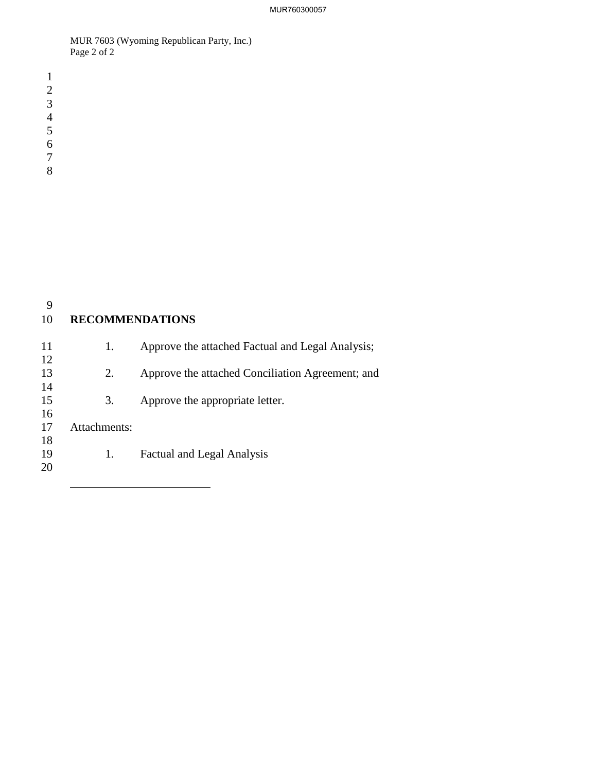MUR 7603 (Wyoming Republican Party, Inc.) Page 2 of 2

 

 $\overline{a}$ 

| 9<br>10 | <b>RECOMMENDATIONS</b> |                                                  |
|---------|------------------------|--------------------------------------------------|
| 11      | 1.                     | Approve the attached Factual and Legal Analysis; |
| 12      |                        |                                                  |
| 13      | 2.                     | Approve the attached Conciliation Agreement; and |
| 14      |                        |                                                  |
| 15      | 3.                     | Approve the appropriate letter.                  |
| 16      |                        |                                                  |
| 17      | Attachments:           |                                                  |
| 18      |                        |                                                  |
| 19      | 1.                     | <b>Factual and Legal Analysis</b>                |
| 20      |                        |                                                  |
|         |                        |                                                  |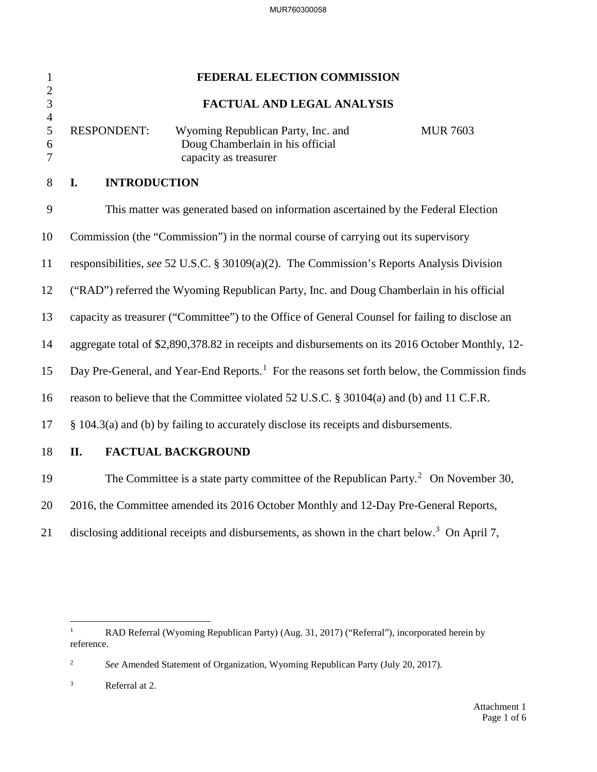| $\mathbf{1}$<br>$\overline{2}$ | FEDERAL ELECTION COMMISSION                                                                               |                                                                                                                    |  |  |
|--------------------------------|-----------------------------------------------------------------------------------------------------------|--------------------------------------------------------------------------------------------------------------------|--|--|
| $\overline{3}$                 | FACTUAL AND LEGAL ANALYSIS                                                                                |                                                                                                                    |  |  |
| $\overline{4}$<br>5<br>6<br>7  | <b>RESPONDENT:</b>                                                                                        | Wyoming Republican Party, Inc. and<br><b>MUR 7603</b><br>Doug Chamberlain in his official<br>capacity as treasurer |  |  |
| 8                              | I.                                                                                                        | <b>INTRODUCTION</b>                                                                                                |  |  |
| 9                              |                                                                                                           | This matter was generated based on information ascertained by the Federal Election                                 |  |  |
| 10                             |                                                                                                           | Commission (the "Commission") in the normal course of carrying out its supervisory                                 |  |  |
| 11                             |                                                                                                           | responsibilities, see 52 U.S.C. § 30109(a)(2). The Commission's Reports Analysis Division                          |  |  |
| 12                             |                                                                                                           | ("RAD") referred the Wyoming Republican Party, Inc. and Doug Chamberlain in his official                           |  |  |
| 13                             |                                                                                                           | capacity as treasurer ("Committee") to the Office of General Counsel for failing to disclose an                    |  |  |
| 14                             |                                                                                                           | aggregate total of \$2,890,378.82 in receipts and disbursements on its 2016 October Monthly, 12-                   |  |  |
| 15                             | Day Pre-General, and Year-End Reports. <sup>1</sup> For the reasons set forth below, the Commission finds |                                                                                                                    |  |  |
| 16                             | reason to believe that the Committee violated 52 U.S.C. § 30104(a) and (b) and 11 C.F.R.                  |                                                                                                                    |  |  |
| 17                             |                                                                                                           | § 104.3(a) and (b) by failing to accurately disclose its receipts and disbursements.                               |  |  |
| 18                             | II.                                                                                                       | <b>FACTUAL BACKGROUND</b>                                                                                          |  |  |
| 19                             |                                                                                                           | The Committee is a state party committee of the Republican Party. <sup>2</sup> On November 30,                     |  |  |

- 20 2016, the Committee amended its 2016 October Monthly and 12-Day Pre-General Reports,
- 21 disclosing additional receipts and disbursements, as shown in the chart below.<sup>[3](#page-2-2)</sup> On April 7,

<span id="page-2-0"></span> $\frac{1}{1}$  RAD Referral (Wyoming Republican Party) (Aug. 31, 2017) ("Referral"), incorporated herein by reference.

<span id="page-2-1"></span><sup>2</sup> *See* Amended Statement of Organization, Wyoming Republican Party (July 20, 2017).

<span id="page-2-2"></span><sup>3</sup> Referral at 2.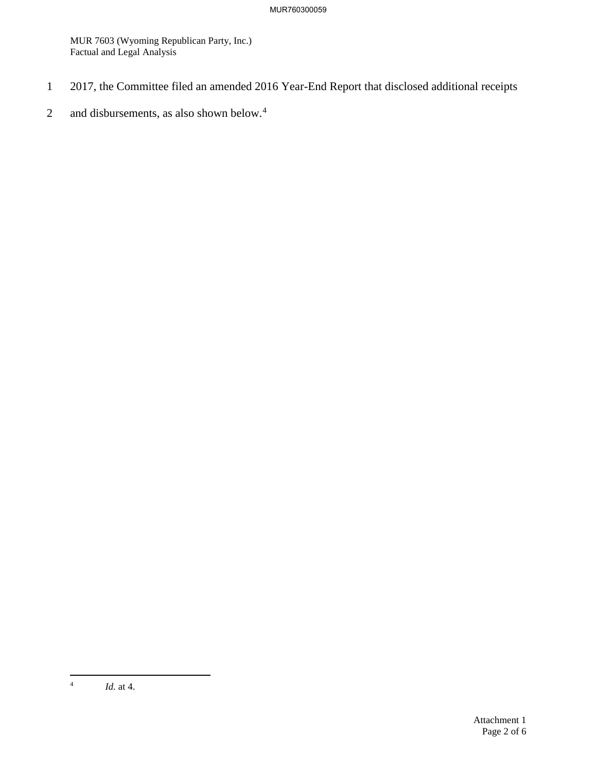- 1 2017, the Committee filed an amended 2016 Year-End Report that disclosed additional receipts
- 2 and disbursements, as also shown below. $4$

<span id="page-3-0"></span> $\frac{1}{4}$ *Id.* at 4.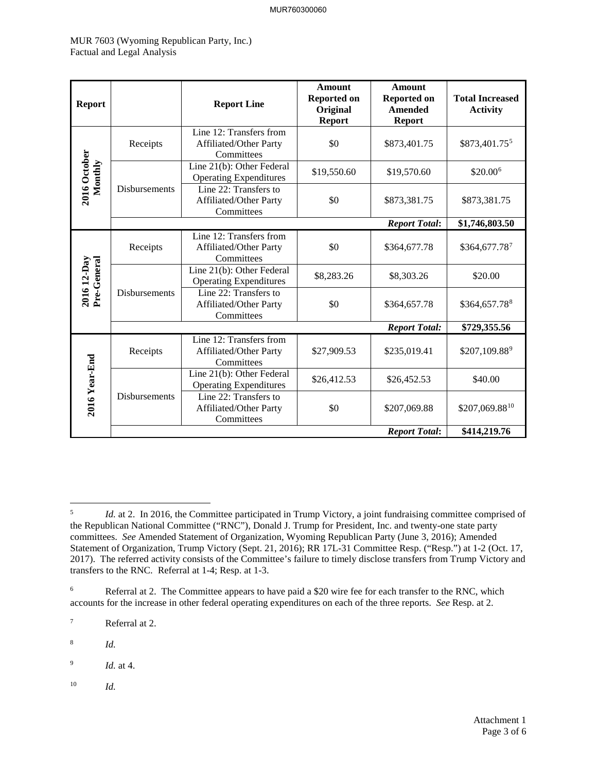| <b>Report</b>              |                      | <b>Report Line</b>                                              | <b>Amount</b><br><b>Reported on</b><br>Original<br><b>Report</b> | <b>Amount</b><br><b>Reported on</b><br><b>Amended</b><br><b>Report</b> | <b>Total Increased</b><br><b>Activity</b> |
|----------------------------|----------------------|-----------------------------------------------------------------|------------------------------------------------------------------|------------------------------------------------------------------------|-------------------------------------------|
|                            | Receipts             | Line 12: Transfers from<br>Affiliated/Other Party<br>Committees | \$0                                                              | \$873,401.75                                                           | \$873,401.755                             |
| 2016 October<br>Monthly    | <b>Disbursements</b> | Line 21(b): Other Federal<br><b>Operating Expenditures</b>      | \$19,550.60                                                      | \$19,570.60                                                            | \$20.00 <sup>6</sup>                      |
|                            |                      | Line 22: Transfers to<br>Affiliated/Other Party<br>Committees   | \$0                                                              | \$873,381.75                                                           | \$873,381.75                              |
|                            |                      |                                                                 |                                                                  | <b>Report Total:</b>                                                   | \$1,746,803.50                            |
|                            | Receipts             | Line 12: Transfers from<br>Affiliated/Other Party<br>Committees | \$0                                                              | \$364,677.78                                                           | \$364,677.787                             |
| 2016 12-Day<br>Pre-General | Disbursements        | Line 21(b): Other Federal<br><b>Operating Expenditures</b>      | \$8,283.26                                                       | \$8,303.26                                                             | \$20.00                                   |
|                            |                      | Line 22: Transfers to<br>Affiliated/Other Party<br>Committees   | \$0                                                              | \$364,657.78                                                           | \$364,657.788                             |
|                            |                      |                                                                 |                                                                  | <b>Report Total:</b>                                                   | \$729,355.56                              |
|                            | Receipts             | Line 12: Transfers from<br>Affiliated/Other Party<br>Committees | \$27,909.53                                                      | \$235,019.41                                                           | \$207,109.889                             |
|                            |                      | Line 21(b): Other Federal<br><b>Operating Expenditures</b>      | \$26,412.53                                                      | \$26,452.53                                                            | \$40.00                                   |
| 2016 Year-End              | Disbursements        | Line 22: Transfers to<br>Affiliated/Other Party<br>Committees   | \$0                                                              | \$207,069.88                                                           | \$207,069.8810                            |
|                            |                      |                                                                 |                                                                  | <b>Report Total:</b>                                                   | \$414,219.76                              |

<span id="page-4-5"></span>10 *Id.*

<span id="page-4-0"></span> 5 *Id.* at 2. In 2016, the Committee participated in Trump Victory, a joint fundraising committee comprised of the Republican National Committee ("RNC"), Donald J. Trump for President, Inc. and twenty-one state party committees. *See* Amended Statement of Organization, Wyoming Republican Party (June 3, 2016); Amended Statement of Organization, Trump Victory (Sept. 21, 2016); RR 17L-31 Committee Resp. ("Resp.") at 1-2 (Oct. 17, 2017). The referred activity consists of the Committee's failure to timely disclose transfers from Trump Victory and transfers to the RNC. Referral at 1-4; Resp. at 1-3.

<span id="page-4-1"></span><sup>6</sup> Referral at 2. The Committee appears to have paid a \$20 wire fee for each transfer to the RNC, which accounts for the increase in other federal operating expenditures on each of the three reports. *See* Resp. at 2.

<span id="page-4-2"></span><sup>7</sup> Referral at 2.

<span id="page-4-3"></span><sup>8</sup> *Id.*

<span id="page-4-4"></span><sup>9</sup> *Id.* at 4.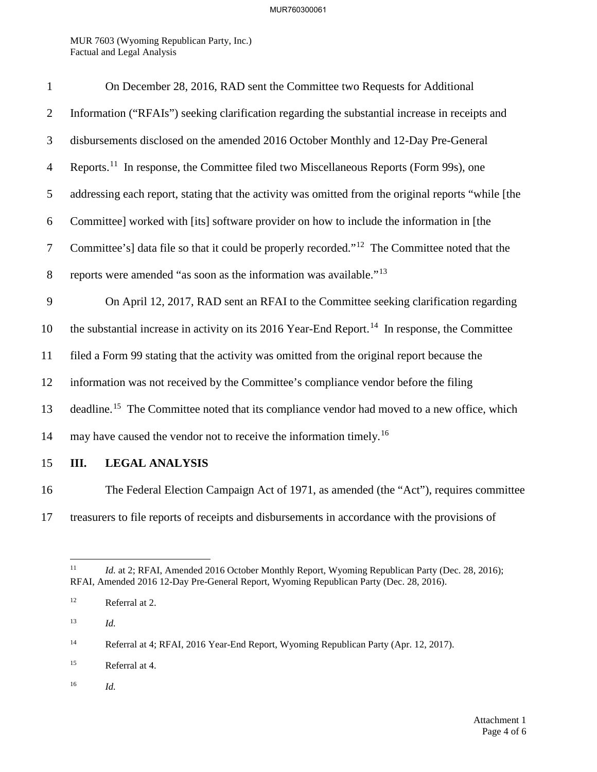| $\mathbf{1}$   | On December 28, 2016, RAD sent the Committee two Requests for Additional                                   |
|----------------|------------------------------------------------------------------------------------------------------------|
| $\overline{2}$ | Information ("RFAIs") seeking clarification regarding the substantial increase in receipts and             |
| 3              | disbursements disclosed on the amended 2016 October Monthly and 12-Day Pre-General                         |
| $\overline{4}$ | Reports. <sup>11</sup> In response, the Committee filed two Miscellaneous Reports (Form 99s), one          |
| 5              | addressing each report, stating that the activity was omitted from the original reports "while [the        |
| 6              | Committee] worked with [its] software provider on how to include the information in [the                   |
| $\tau$         | Committee's] data file so that it could be properly recorded." <sup>12</sup> The Committee noted that the  |
| $8\,$          | reports were amended "as soon as the information was available." <sup>13</sup>                             |
| 9              | On April 12, 2017, RAD sent an RFAI to the Committee seeking clarification regarding                       |
| 10             | the substantial increase in activity on its 2016 Year-End Report. <sup>14</sup> In response, the Committee |
| 11             | filed a Form 99 stating that the activity was omitted from the original report because the                 |
| 12             | information was not received by the Committee's compliance vendor before the filing                        |
| 13             | deadline. <sup>15</sup> The Committee noted that its compliance vendor had moved to a new office, which    |
| 14             | may have caused the vendor not to receive the information timely. <sup>16</sup>                            |
| 15             | Ш.<br><b>LEGAL ANALYSIS</b>                                                                                |

16 The Federal Election Campaign Act of 1971, as amended (the "Act"), requires committee 17 treasurers to file reports of receipts and disbursements in accordance with the provisions of

<span id="page-5-2"></span>13 *Id.*

<span id="page-5-0"></span> $11\,$ Id. at 2; RFAI, Amended 2016 October Monthly Report, Wyoming Republican Party (Dec. 28, 2016); RFAI, Amended 2016 12-Day Pre-General Report, Wyoming Republican Party (Dec. 28, 2016).

<span id="page-5-1"></span><sup>12</sup> Referral at 2.

<span id="page-5-3"></span><sup>&</sup>lt;sup>14</sup> Referral at 4; RFAI, 2016 Year-End Report, Wyoming Republican Party (Apr. 12, 2017).

<span id="page-5-4"></span><sup>15</sup> Referral at 4.

<span id="page-5-5"></span><sup>16</sup> *Id.*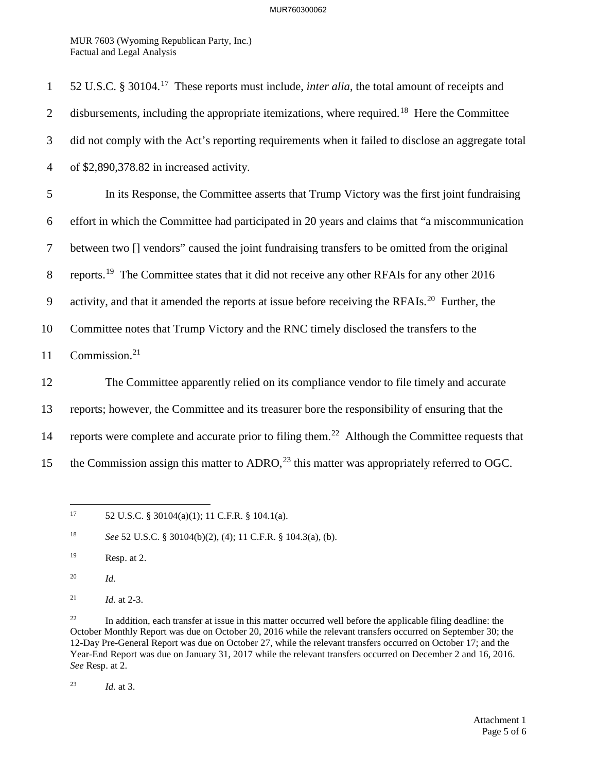MUR 7603 (Wyoming Republican Party, Inc.) Factual and Legal Analysis

| $\mathbf{1}$   | 52 U.S.C. § 30104. <sup>17</sup> These reports must include, <i>inter alia</i> , the total amount of receipts and |
|----------------|-------------------------------------------------------------------------------------------------------------------|
| $\overline{2}$ | disbursements, including the appropriate itemizations, where required. <sup>18</sup> Here the Committee           |
| 3              | did not comply with the Act's reporting requirements when it failed to disclose an aggregate total                |
| $\overline{4}$ | of \$2,890,378.82 in increased activity.                                                                          |
| 5              | In its Response, the Committee asserts that Trump Victory was the first joint fundraising                         |
| 6              | effort in which the Committee had participated in 20 years and claims that "a miscommunication                    |
| 7              | between two [] vendors" caused the joint fundraising transfers to be omitted from the original                    |
| 8              | reports. <sup>19</sup> The Committee states that it did not receive any other RFAIs for any other 2016            |
| 9              | activity, and that it amended the reports at issue before receiving the RFAIs. <sup>20</sup> Further, the         |
| 10             | Committee notes that Trump Victory and the RNC timely disclosed the transfers to the                              |
| 11             | Commission. <sup>21</sup>                                                                                         |
| 12             | The Committee apparently relied on its compliance vendor to file timely and accurate                              |
| 13             | reports; however, the Committee and its treasurer bore the responsibility of ensuring that the                    |
| 14             | reports were complete and accurate prior to filing them. <sup>22</sup> Although the Committee requests that       |
| 15             | the Commission assign this matter to ADRO, <sup>23</sup> this matter was appropriately referred to OGC.           |

<span id="page-6-0"></span> $17\,$ 52 U.S.C. § 30104(a)(1); 11 C.F.R. § 104.1(a).

<span id="page-6-3"></span>20 *Id.*

<span id="page-6-5"></span><sup>22</sup> In addition, each transfer at issue in this matter occurred well before the applicable filing deadline: the October Monthly Report was due on October 20, 2016 while the relevant transfers occurred on September 30; the 12-Day Pre-General Report was due on October 27, while the relevant transfers occurred on October 17; and the Year-End Report was due on January 31, 2017 while the relevant transfers occurred on December 2 and 16, 2016. *See* Resp. at 2.

<span id="page-6-6"></span>23 *Id.* at 3.

<span id="page-6-1"></span><sup>18</sup> *See* 52 U.S.C. § 30104(b)(2), (4); 11 C.F.R. § 104.3(a), (b).

<span id="page-6-2"></span><sup>19</sup> Resp. at 2.

<span id="page-6-4"></span><sup>21</sup> *Id.* at 2-3.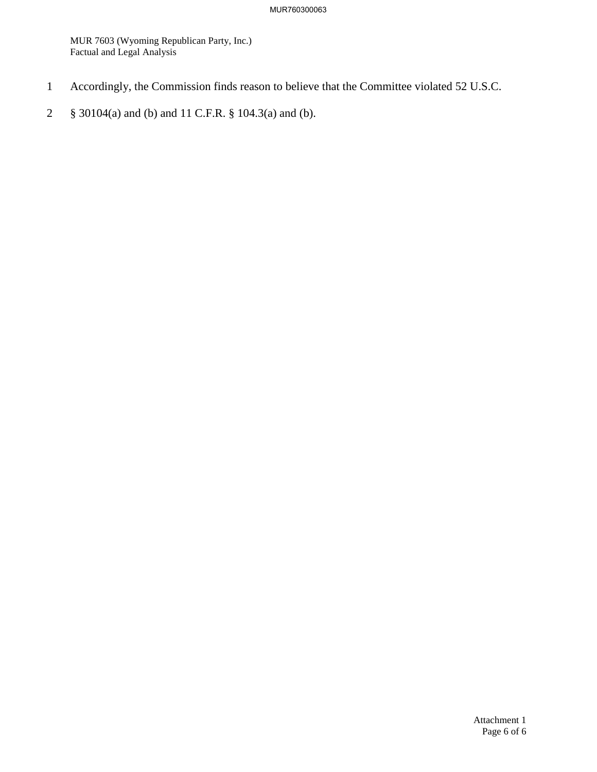- 1 Accordingly, the Commission finds reason to believe that the Committee violated 52 U.S.C.
- 2 § 30104(a) and (b) and 11 C.F.R. § 104.3(a) and (b).